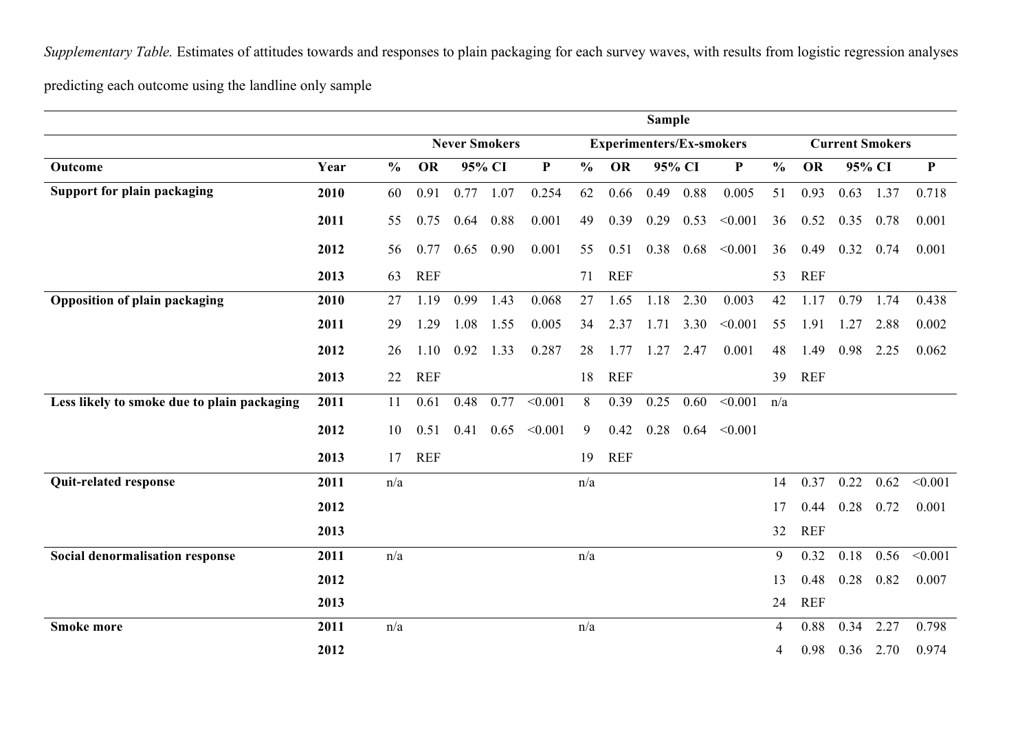*Supplementary Table.* Estimates of attitudes towards and responses to plain packaging for each survey waves, with results from logistic regression analyses

predicting each outcome using the landline only sample

|                                             |      |               |                      | <b>Sample</b> |        |                                 |               |            |        |                        |              |               |            |        |      |             |
|---------------------------------------------|------|---------------|----------------------|---------------|--------|---------------------------------|---------------|------------|--------|------------------------|--------------|---------------|------------|--------|------|-------------|
|                                             |      |               | <b>Never Smokers</b> |               |        | <b>Experimenters/Ex-smokers</b> |               |            |        | <b>Current Smokers</b> |              |               |            |        |      |             |
| Outcome                                     | Year | $\frac{0}{0}$ | <b>OR</b>            |               | 95% CI | ${\bf P}$                       | $\frac{0}{0}$ | OR         | 95% CI |                        | $\mathbf{P}$ | $\frac{0}{0}$ | <b>OR</b>  | 95% CI |      | $\mathbf P$ |
| <b>Support for plain packaging</b>          | 2010 | 60            | 0.91                 | 0.77          | 1.07   | 0.254                           | 62            | 0.66       | 0.49   | 0.88                   | 0.005        | 51            | 0.93       | 0.63   | 1.37 | 0.718       |
|                                             | 2011 | 55            | 0.75                 | 0.64          | 0.88   | 0.001                           | 49            | 0.39       | 0.29   | 0.53                   | < 0.001      | 36            | 0.52       | 0.35   | 0.78 | 0.001       |
|                                             | 2012 | 56            | 0.77                 | 0.65          | 0.90   | 0.001                           | 55            | 0.51       | 0.38   | 0.68                   | < 0.001      | 36            | 0.49       | 0.32   | 0.74 | 0.001       |
|                                             | 2013 | 63            | <b>REF</b>           |               |        |                                 | 71            | <b>REF</b> |        |                        |              | 53            | <b>REF</b> |        |      |             |
| <b>Opposition of plain packaging</b>        | 2010 | 27            | 1.19                 | 0.99          | 1.43   | 0.068                           | 27            | 1.65       | 1.18   | 2.30                   | 0.003        | 42            | 1.17       | 0.79   | 1.74 | 0.438       |
|                                             | 2011 | 29            | 1.29                 | 1.08          | 1.55   | 0.005                           | 34            | 2.37       | 1.71   | 3.30                   | < 0.001      | 55            | 1.91       | 1.27   | 2.88 | 0.002       |
|                                             | 2012 | 26            | 1.10                 | 0.92          | 1.33   | 0.287                           | 28            | 1.77       | 1.27   | 2.47                   | 0.001        | 48            | 1.49       | 0.98   | 2.25 | 0.062       |
|                                             | 2013 | 22            | <b>REF</b>           |               |        |                                 | 18            | <b>REF</b> |        |                        |              | 39            | <b>REF</b> |        |      |             |
| Less likely to smoke due to plain packaging | 2011 | 11            | 0.61                 | 0.48          | 0.77   | < 0.001                         | 8             | 0.39       | 0.25   | 0.60                   | < 0.001      | n/a           |            |        |      |             |
|                                             | 2012 | 10            | 0.51                 | 0.41          |        | $0.65 \le 0.001$                | 9             | 0.42       | 0.28   | 0.64                   | < 0.001      |               |            |        |      |             |
|                                             | 2013 | 17            | <b>REF</b>           |               |        |                                 | 19            | <b>REF</b> |        |                        |              |               |            |        |      |             |
| Quit-related response                       | 2011 | n/a           |                      |               |        |                                 | n/a           |            |        |                        |              | 14            | 0.37       | 0.22   | 0.62 | < 0.001     |
|                                             | 2012 |               |                      |               |        |                                 |               |            |        |                        |              | 17            | 0.44       | 0.28   | 0.72 | 0.001       |
|                                             | 2013 |               |                      |               |        |                                 |               |            |        |                        |              | 32            | <b>REF</b> |        |      |             |
| Social denormalisation response             | 2011 | n/a           |                      |               |        |                                 | n/a           |            |        |                        |              | 9             | 0.32       | 0.18   | 0.56 | < 0.001     |
|                                             | 2012 |               |                      |               |        |                                 |               |            |        |                        |              | 13            | 0.48       | 0.28   | 0.82 | 0.007       |
|                                             | 2013 |               |                      |               |        |                                 |               |            |        |                        |              | 24            | <b>REF</b> |        |      |             |
| <b>Smoke more</b>                           | 2011 | n/a           |                      |               |        |                                 | n/a           |            |        |                        |              | 4             | 0.88       | 0.34   | 2.27 | 0.798       |
|                                             | 2012 |               |                      |               |        |                                 |               |            |        |                        |              | 4             | 0.98       | 0.36   | 2.70 | 0.974       |